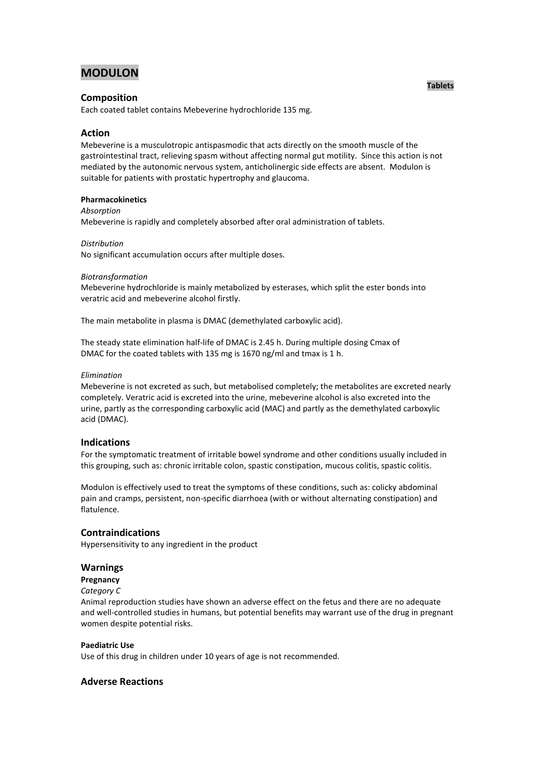# **MODULON**

# **Composition**

Each coated tablet contains Mebeverine hydrochloride 135 mg.

# **Action**

Mebeverine is a musculotropic antispasmodic that acts directly on the smooth muscle of the gastrointestinal tract, relieving spasm without affecting normal gut motility. Since this action is not mediated by the autonomic nervous system, anticholinergic side effects are absent. Modulon is suitable for patients with prostatic hypertrophy and glaucoma.

## **Pharmacokinetics**

*Absorption*

Mebeverine is rapidly and completely absorbed after oral administration of tablets.

#### *Distribution*

No significant accumulation occurs after multiple doses.

#### *Biotransformation*

Mebeverine hydrochloride is mainly metabolized by esterases, which split the ester bonds into veratric acid and mebeverine alcohol firstly.

The main metabolite in plasma is DMAC (demethylated carboxylic acid).

The steady state elimination half-life of DMAC is 2.45 h. During multiple dosing Cmax of DMAC for the coated tablets with 135 mg is 1670 ng/ml and tmax is 1 h.

#### *Elimination*

Mebeverine is not excreted as such, but metabolised completely; the metabolites are excreted nearly completely. Veratric acid is excreted into the urine, mebeverine alcohol is also excreted into the urine, partly as the corresponding carboxylic acid (MAC) and partly as the demethylated carboxylic acid (DMAC).

## **Indications**

For the symptomatic treatment of irritable bowel syndrome and other conditions usually included in this grouping, such as: chronic irritable colon, spastic constipation, mucous colitis, spastic colitis.

Modulon is effectively used to treat the symptoms of these conditions, such as: colicky abdominal pain and cramps, persistent, non-specific diarrhoea (with or without alternating constipation) and flatulence.

## **Contraindications**

Hypersensitivity to any ingredient in the product

## **Warnings**

## **Pregnancy**

#### *Category C*

Animal reproduction studies have shown an adverse effect on the fetus and there are no adequate and well-controlled studies in humans, but potential benefits may warrant use of the drug in pregnant women despite potential risks.

## **Paediatric Use**

Use of this drug in children under 10 years of age is not recommended.

## **Adverse Reactions**